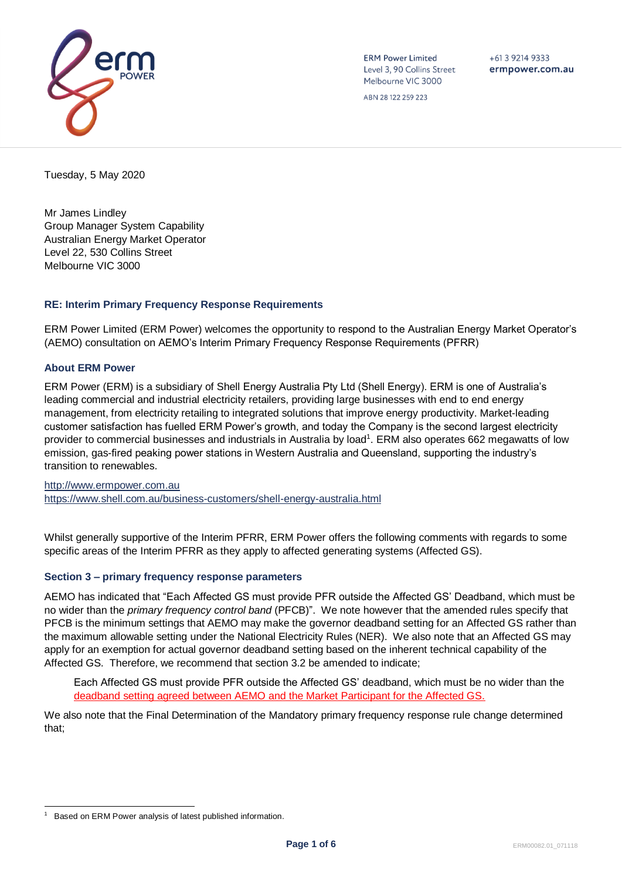

**ERM Power Limited** Level 3, 90 Collins Street Melbourne VIC 3000

 $+61392149333$ ermpower.com.au

ABN 28 122 259 223

Tuesday, 5 May 2020

Mr James Lindley Group Manager System Capability Australian Energy Market Operator Level 22, 530 Collins Street Melbourne VIC 3000

# **RE: Interim Primary Frequency Response Requirements**

ERM Power Limited (ERM Power) welcomes the opportunity to respond to the Australian Energy Market Operator's (AEMO) consultation on AEMO's Interim Primary Frequency Response Requirements (PFRR)

## **About ERM Power**

ERM Power (ERM) is a subsidiary of Shell Energy Australia Pty Ltd (Shell Energy). ERM is one of Australia's leading commercial and industrial electricity retailers, providing large businesses with end to end energy management, from electricity retailing to integrated solutions that improve energy productivity. Market-leading customer satisfaction has fuelled ERM Power's growth, and today the Company is the second largest electricity provider to commercial businesses and industrials in Australia by load<sup>1</sup>. ERM also operates 662 megawatts of low emission, gas-fired peaking power stations in Western Australia and Queensland, supporting the industry's transition to renewables.

[http://www.ermpower.com.au](http://www.ermpower.com.au/) <https://www.shell.com.au/business-customers/shell-energy-australia.html>

Whilst generally supportive of the Interim PFRR, ERM Power offers the following comments with regards to some specific areas of the Interim PFRR as they apply to affected generating systems (Affected GS).

## **Section 3 – primary frequency response parameters**

AEMO has indicated that "Each Affected GS must provide PFR outside the Affected GS' Deadband, which must be no wider than the *primary frequency control band* (PFCB)". We note however that the amended rules specify that PFCB is the minimum settings that AEMO may make the governor deadband setting for an Affected GS rather than the maximum allowable setting under the National Electricity Rules (NER). We also note that an Affected GS may apply for an exemption for actual governor deadband setting based on the inherent technical capability of the Affected GS. Therefore, we recommend that section 3.2 be amended to indicate;

Each Affected GS must provide PFR outside the Affected GS' deadband, which must be no wider than the deadband setting agreed between AEMO and the Market Participant for the Affected GS.

We also note that the Final Determination of the Mandatory primary frequency response rule change determined that;

<sup>1</sup> Based on ERM Power analysis of latest published information.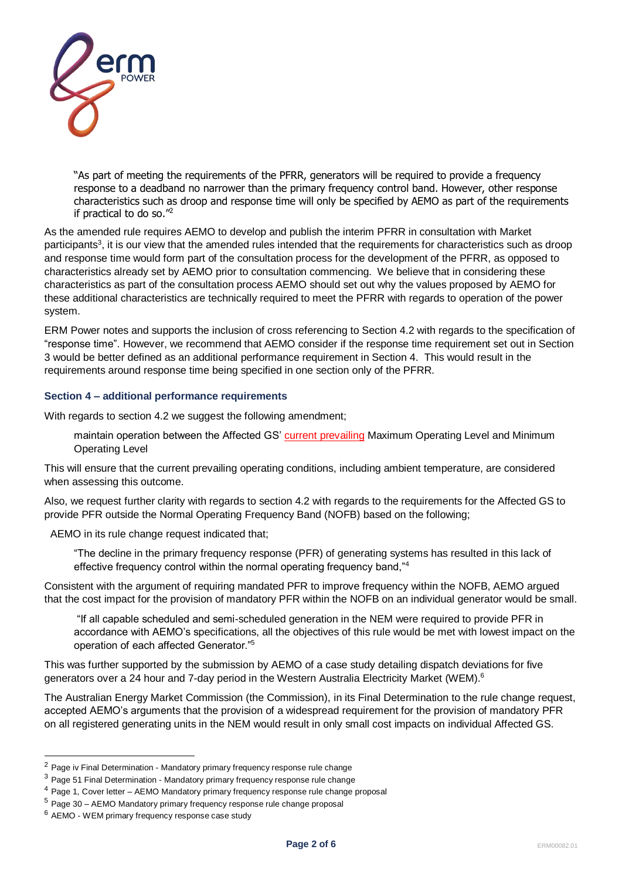

"As part of meeting the requirements of the PFRR, generators will be required to provide a frequency response to a deadband no narrower than the primary frequency control band. However, other response characteristics such as droop and response time will only be specified by AEMO as part of the requirements if practical to do so."<sup>2</sup>

As the amended rule requires AEMO to develop and publish the interim PFRR in consultation with Market participants<sup>3</sup>, it is our view that the amended rules intended that the requirements for characteristics such as droop and response time would form part of the consultation process for the development of the PFRR, as opposed to characteristics already set by AEMO prior to consultation commencing. We believe that in considering these characteristics as part of the consultation process AEMO should set out why the values proposed by AEMO for these additional characteristics are technically required to meet the PFRR with regards to operation of the power system.

ERM Power notes and supports the inclusion of cross referencing to Section 4.2 with regards to the specification of "response time". However, we recommend that AEMO consider if the response time requirement set out in Section 3 would be better defined as an additional performance requirement in Section 4. This would result in the requirements around response time being specified in one section only of the PFRR.

## **Section 4 – additional performance requirements**

With regards to section 4.2 we suggest the following amendment;

maintain operation between the Affected GS' current prevailing Maximum Operating Level and Minimum Operating Level

This will ensure that the current prevailing operating conditions, including ambient temperature, are considered when assessing this outcome.

Also, we request further clarity with regards to section 4.2 with regards to the requirements for the Affected GS to provide PFR outside the Normal Operating Frequency Band (NOFB) based on the following;

AEMO in its rule change request indicated that;

"The decline in the primary frequency response (PFR) of generating systems has resulted in this lack of effective frequency control within the normal operating frequency band,"<sup>4</sup>

Consistent with the argument of requiring mandated PFR to improve frequency within the NOFB, AEMO argued that the cost impact for the provision of mandatory PFR within the NOFB on an individual generator would be small.

"If all capable scheduled and semi-scheduled generation in the NEM were required to provide PFR in accordance with AEMO's specifications, all the objectives of this rule would be met with lowest impact on the operation of each affected Generator."<sup>5</sup>

This was further supported by the submission by AEMO of a case study detailing dispatch deviations for five generators over a 24 hour and 7-day period in the Western Australia Electricity Market (WEM).<sup>6</sup>

The Australian Energy Market Commission (the Commission), in its Final Determination to the rule change request, accepted AEMO's arguments that the provision of a widespread requirement for the provision of mandatory PFR on all registered generating units in the NEM would result in only small cost impacts on individual Affected GS.

 $2$  Page iv Final Determination - Mandatory primary frequency response rule change

 $3$  Page 51 Final Determination - Mandatory primary frequency response rule change

<sup>4</sup> Page 1, Cover letter – AEMO Mandatory primary frequency response rule change proposal

<sup>5</sup> Page 30 – AEMO Mandatory primary frequency response rule change proposal

<sup>6</sup> AEMO - WEM primary frequency response case study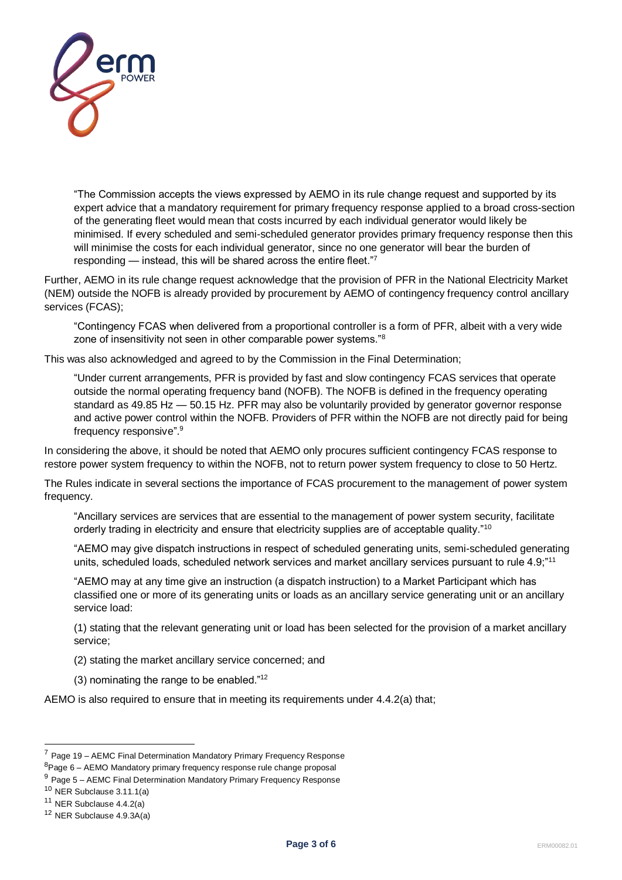

"The Commission accepts the views expressed by AEMO in its rule change request and supported by its expert advice that a mandatory requirement for primary frequency response applied to a broad cross-section of the generating fleet would mean that costs incurred by each individual generator would likely be minimised. If every scheduled and semi-scheduled generator provides primary frequency response then this will minimise the costs for each individual generator, since no one generator will bear the burden of responding — instead, this will be shared across the entire fleet."7

Further, AEMO in its rule change request acknowledge that the provision of PFR in the National Electricity Market (NEM) outside the NOFB is already provided by procurement by AEMO of contingency frequency control ancillary services (FCAS);

"Contingency FCAS when delivered from a proportional controller is a form of PFR, albeit with a very wide zone of insensitivity not seen in other comparable power systems."<sup>8</sup>

This was also acknowledged and agreed to by the Commission in the Final Determination;

"Under current arrangements, PFR is provided by fast and slow contingency FCAS services that operate outside the normal operating frequency band (NOFB). The NOFB is defined in the frequency operating standard as 49.85 Hz — 50.15 Hz. PFR may also be voluntarily provided by generator governor response and active power control within the NOFB. Providers of PFR within the NOFB are not directly paid for being frequency responsive". 9

In considering the above, it should be noted that AEMO only procures sufficient contingency FCAS response to restore power system frequency to within the NOFB, not to return power system frequency to close to 50 Hertz.

The Rules indicate in several sections the importance of FCAS procurement to the management of power system frequency.

"Ancillary services are services that are essential to the management of power system security, facilitate orderly trading in electricity and ensure that electricity supplies are of acceptable quality."<sup>10</sup>

"AEMO may give dispatch instructions in respect of scheduled generating units, semi-scheduled generating units, scheduled loads, scheduled network services and market ancillary services pursuant to rule 4.9;"<sup>11</sup>

"AEMO may at any time give an instruction (a dispatch instruction) to a Market Participant which has classified one or more of its generating units or loads as an ancillary service generating unit or an ancillary service load:

(1) stating that the relevant generating unit or load has been selected for the provision of a market ancillary service;

- (2) stating the market ancillary service concerned; and
- (3) nominating the range to be enabled."<sup>12</sup>

AEMO is also required to ensure that in meeting its requirements under 4.4.2(a) that;

 $7$  Page 19 – AEMC Final Determination Mandatory Primary Frequency Response

<sup>8</sup>Page 6 – AEMO Mandatory primary frequency response rule change proposal

<sup>&</sup>lt;sup>9</sup> Page 5 – AEMC Final Determination Mandatory Primary Frequency Response

<sup>10</sup> NER Subclause 3.11.1(a)

 $11$  NER Subclause 4.4.2(a)

<sup>12</sup> NER Subclause 4.9.3A(a)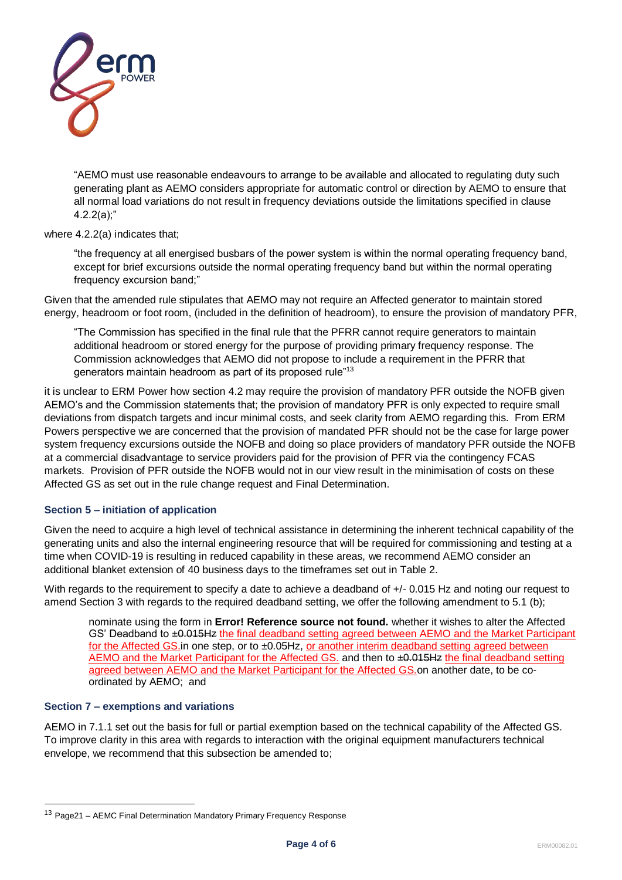

"AEMO must use reasonable endeavours to arrange to be available and allocated to regulating duty such generating plant as AEMO considers appropriate for automatic control or direction by AEMO to ensure that all normal load variations do not result in frequency deviations outside the limitations specified in clause  $4.2.2(a)$ ;"

## where 4.2.2(a) indicates that;

"the frequency at all energised busbars of the power system is within the normal operating frequency band, except for brief excursions outside the normal operating frequency band but within the normal operating frequency excursion band;"

Given that the amended rule stipulates that AEMO may not require an Affected generator to maintain stored energy, headroom or foot room, (included in the definition of headroom), to ensure the provision of mandatory PFR,

"The Commission has specified in the final rule that the PFRR cannot require generators to maintain additional headroom or stored energy for the purpose of providing primary frequency response. The Commission acknowledges that AEMO did not propose to include a requirement in the PFRR that generators maintain headroom as part of its proposed rule"<sup>13</sup>

it is unclear to ERM Power how section 4.2 may require the provision of mandatory PFR outside the NOFB given AEMO's and the Commission statements that; the provision of mandatory PFR is only expected to require small deviations from dispatch targets and incur minimal costs, and seek clarity from AEMO regarding this. From ERM Powers perspective we are concerned that the provision of mandated PFR should not be the case for large power system frequency excursions outside the NOFB and doing so place providers of mandatory PFR outside the NOFB at a commercial disadvantage to service providers paid for the provision of PFR via the contingency FCAS markets. Provision of PFR outside the NOFB would not in our view result in the minimisation of costs on these Affected GS as set out in the rule change request and Final Determination.

## **Section 5 – initiation of application**

Given the need to acquire a high level of technical assistance in determining the inherent technical capability of the generating units and also the internal engineering resource that will be required for commissioning and testing at a time when COVID-19 is resulting in reduced capability in these areas, we recommend AEMO consider an additional blanket extension of 40 business days to the timeframes set out in Table 2.

With regards to the requirement to specify a date to achieve a deadband of  $+/-$  0.015 Hz and noting our request to amend Section 3 with regards to the required deadband setting, we offer the following amendment to 5.1 (b);

nominate using the form in **Error! Reference source not found.** whether it wishes to alter the Affected GS' Deadband to  $\pm 0.015$ Hz the final deadband setting agreed between AEMO and the Market Participant for the Affected GS.in one step, or to ±0.05Hz, or another interim deadband setting agreed between AEMO and the Market Participant for the Affected GS. and then to  $\pm 0.015$ Hz the final deadband setting agreed between AEMO and the Market Participant for the Affected GS.on another date, to be coordinated by AEMO; and

### **Section 7 – exemptions and variations**

AEMO in 7.1.1 set out the basis for full or partial exemption based on the technical capability of the Affected GS. To improve clarity in this area with regards to interaction with the original equipment manufacturers technical envelope, we recommend that this subsection be amended to;

<sup>13</sup> Page21 – AEMC Final Determination Mandatory Primary Frequency Response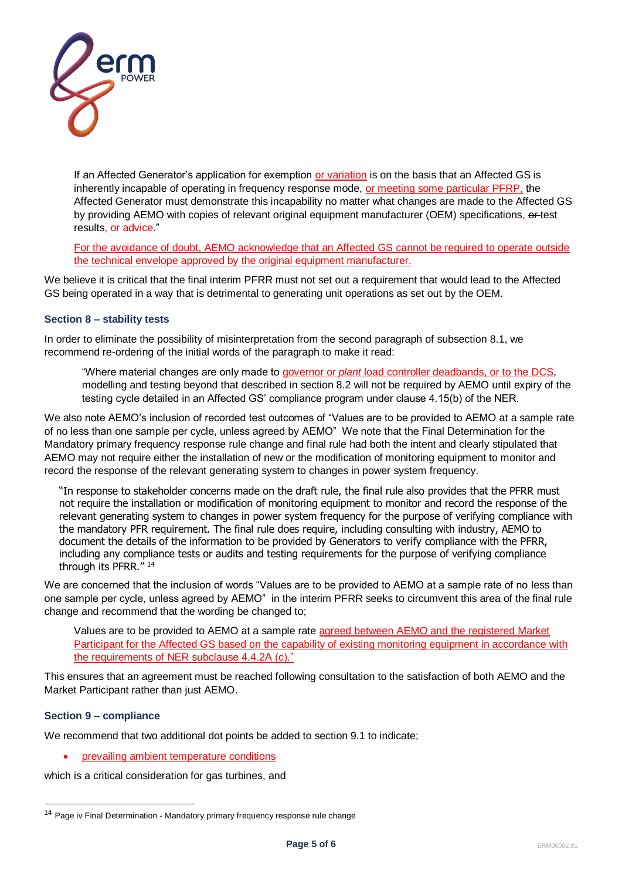

If an Affected Generator's application for exemption or variation is on the basis that an Affected GS is inherently incapable of operating in frequency response mode, or meeting some particular PFRP, the Affected Generator must demonstrate this incapability no matter what changes are made to the Affected GS by providing AEMO with copies of relevant original equipment manufacturer (OEM) specifications, extest results, or advice."

For the avoidance of doubt, AEMO acknowledge that an Affected GS cannot be required to operate outside the technical envelope approved by the original equipment manufacturer.

We believe it is critical that the final interim PFRR must not set out a requirement that would lead to the Affected GS being operated in a way that is detrimental to generating unit operations as set out by the OEM.

## **Section 8 – stability tests**

In order to eliminate the possibility of misinterpretation from the second paragraph of subsection 8.1, we recommend re-ordering of the initial words of the paragraph to make it read:

"Where material changes are only made to governor or *plant* load controller deadbands, or to the DCS, modelling and testing beyond that described in section 8.2 will not be required by AEMO until expiry of the testing cycle detailed in an Affected GS' compliance program under clause 4.15(b) of the NER.

We also note AEMO's inclusion of recorded test outcomes of "Values are to be provided to AEMO at a sample rate of no less than one sample per cycle, unless agreed by AEMO" We note that the Final Determination for the Mandatory primary frequency response rule change and final rule had both the intent and clearly stipulated that AEMO may not require either the installation of new or the modification of monitoring equipment to monitor and record the response of the relevant generating system to changes in power system frequency.

"In response to stakeholder concerns made on the draft rule, the final rule also provides that the PFRR must not require the installation or modification of monitoring equipment to monitor and record the response of the relevant generating system to changes in power system frequency for the purpose of verifying compliance with the mandatory PFR requirement. The final rule does require, including consulting with industry, AEMO to document the details of the information to be provided by Generators to verify compliance with the PFRR, including any compliance tests or audits and testing requirements for the purpose of verifying compliance through its PFRR." <sup>14</sup>

We are concerned that the inclusion of words "Values are to be provided to AEMO at a sample rate of no less than one sample per cycle, unless agreed by AEMO" in the interim PFRR seeks to circumvent this area of the final rule change and recommend that the wording be changed to;

Values are to be provided to AEMO at a sample rate agreed between AEMO and the registered Market Participant for the Affected GS based on the capability of existing monitoring equipment in accordance with the requirements of NER subclause 4.4.2A (c)."

This ensures that an agreement must be reached following consultation to the satisfaction of both AEMO and the Market Participant rather than just AEMO.

## **Section 9 – compliance**

We recommend that two additional dot points be added to section 9.1 to indicate;

• prevailing ambient temperature conditions

which is a critical consideration for gas turbines, and

<sup>&</sup>lt;sup>14</sup> Page iv Final Determination - Mandatory primary frequency response rule change